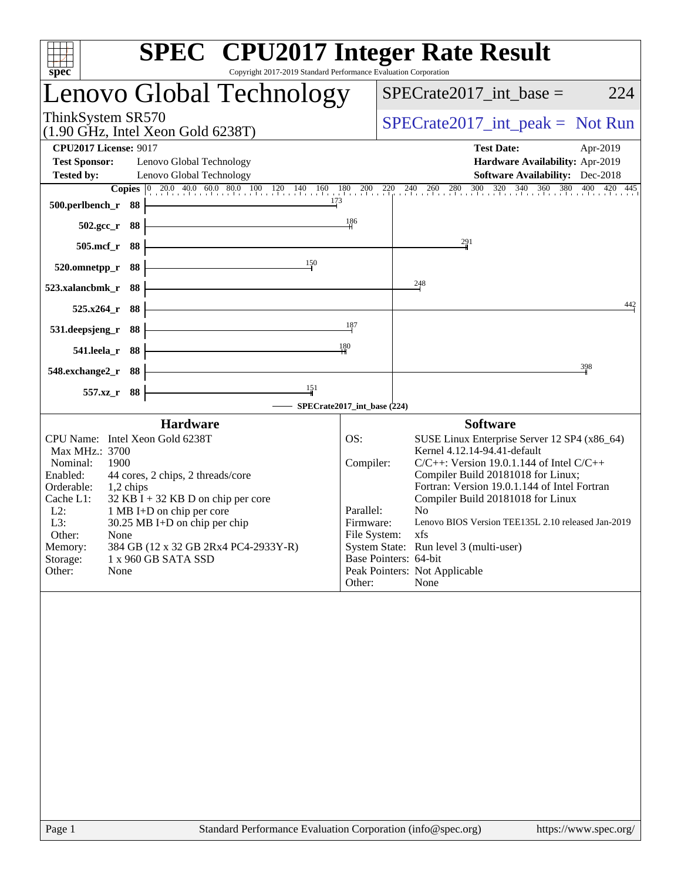| <b>SPEC<sup>®</sup></b> CPU2017 Integer Rate Result<br>Copyright 2017-2019 Standard Performance Evaluation Corporation<br>spec                                                                                                                                                                                                                                                                                  |                                                                      |                                                                                                                                                                                                                                                                                                                                                                                                                                                     |
|-----------------------------------------------------------------------------------------------------------------------------------------------------------------------------------------------------------------------------------------------------------------------------------------------------------------------------------------------------------------------------------------------------------------|----------------------------------------------------------------------|-----------------------------------------------------------------------------------------------------------------------------------------------------------------------------------------------------------------------------------------------------------------------------------------------------------------------------------------------------------------------------------------------------------------------------------------------------|
| Lenovo Global Technology                                                                                                                                                                                                                                                                                                                                                                                        |                                                                      | $SPECrate2017\_int\_base =$<br>224                                                                                                                                                                                                                                                                                                                                                                                                                  |
| ThinkSystem SR570<br>$(1.90 \text{ GHz}, \text{Intel Xeon Gold } 6238 \text{T})$                                                                                                                                                                                                                                                                                                                                |                                                                      | $SPECrate2017\_int\_peak = Not Run$                                                                                                                                                                                                                                                                                                                                                                                                                 |
| <b>CPU2017 License: 9017</b><br><b>Test Sponsor:</b><br>Lenovo Global Technology<br><b>Tested by:</b><br>Lenovo Global Technology                                                                                                                                                                                                                                                                               |                                                                      | <b>Test Date:</b><br>Apr-2019<br>Hardware Availability: Apr-2019<br><b>Software Availability:</b> Dec-2018                                                                                                                                                                                                                                                                                                                                          |
| <b>Copies</b> $\begin{bmatrix} 0 & 20.0 & 40.0 & 60.0 & 80.0 & 100 & 120 & 140 & 160 & 180 & 200 & 220 & 240 & 260 & 280 \end{bmatrix}$<br>173<br>500.perlbench_r 88                                                                                                                                                                                                                                            | 186                                                                  | 300 320 340 360 380 400 420 445                                                                                                                                                                                                                                                                                                                                                                                                                     |
| 502.gcc_r 88<br>505.mcf_r 88                                                                                                                                                                                                                                                                                                                                                                                    |                                                                      | 291                                                                                                                                                                                                                                                                                                                                                                                                                                                 |
| 150<br>- 88<br>520.omnetpp_r                                                                                                                                                                                                                                                                                                                                                                                    |                                                                      |                                                                                                                                                                                                                                                                                                                                                                                                                                                     |
| 523.xalancbmk r<br>88<br>525.x264_r 88                                                                                                                                                                                                                                                                                                                                                                          |                                                                      | $^{248}$<br>442                                                                                                                                                                                                                                                                                                                                                                                                                                     |
| 531.deepsjeng_r<br>88                                                                                                                                                                                                                                                                                                                                                                                           | 187                                                                  |                                                                                                                                                                                                                                                                                                                                                                                                                                                     |
| 541.leela_r 88<br>548.exchange2_r 88                                                                                                                                                                                                                                                                                                                                                                            | 180                                                                  | 398                                                                                                                                                                                                                                                                                                                                                                                                                                                 |
| 151<br>557.xz_r 88                                                                                                                                                                                                                                                                                                                                                                                              |                                                                      |                                                                                                                                                                                                                                                                                                                                                                                                                                                     |
| - SPECrate2017_int_base (224)<br><b>Hardware</b>                                                                                                                                                                                                                                                                                                                                                                |                                                                      | <b>Software</b>                                                                                                                                                                                                                                                                                                                                                                                                                                     |
| CPU Name: Intel Xeon Gold 6238T<br>Max MHz.: 3700<br>1900<br>Nominal:<br>Enabled:<br>44 cores, 2 chips, 2 threads/core<br>Orderable:<br>1,2 chips<br>$32$ KB I + 32 KB D on chip per core<br>Cache L1:<br>$L2$ :<br>1 MB I+D on chip per core<br>L3:<br>30.25 MB I+D on chip per chip<br>Other:<br>None<br>Memory:<br>384 GB (12 x 32 GB 2Rx4 PC4-2933Y-R)<br>Storage:<br>1 x 960 GB SATA SSD<br>Other:<br>None | OS:<br>Compiler:<br>Parallel:<br>Firmware:<br>File System:<br>Other: | SUSE Linux Enterprise Server 12 SP4 (x86_64)<br>Kernel 4.12.14-94.41-default<br>$C/C++$ : Version 19.0.1.144 of Intel $C/C++$<br>Compiler Build 20181018 for Linux;<br>Fortran: Version 19.0.1.144 of Intel Fortran<br>Compiler Build 20181018 for Linux<br>N <sub>o</sub><br>Lenovo BIOS Version TEE135L 2.10 released Jan-2019<br>xfs<br>System State: Run level 3 (multi-user)<br>Base Pointers: 64-bit<br>Peak Pointers: Not Applicable<br>None |
|                                                                                                                                                                                                                                                                                                                                                                                                                 |                                                                      |                                                                                                                                                                                                                                                                                                                                                                                                                                                     |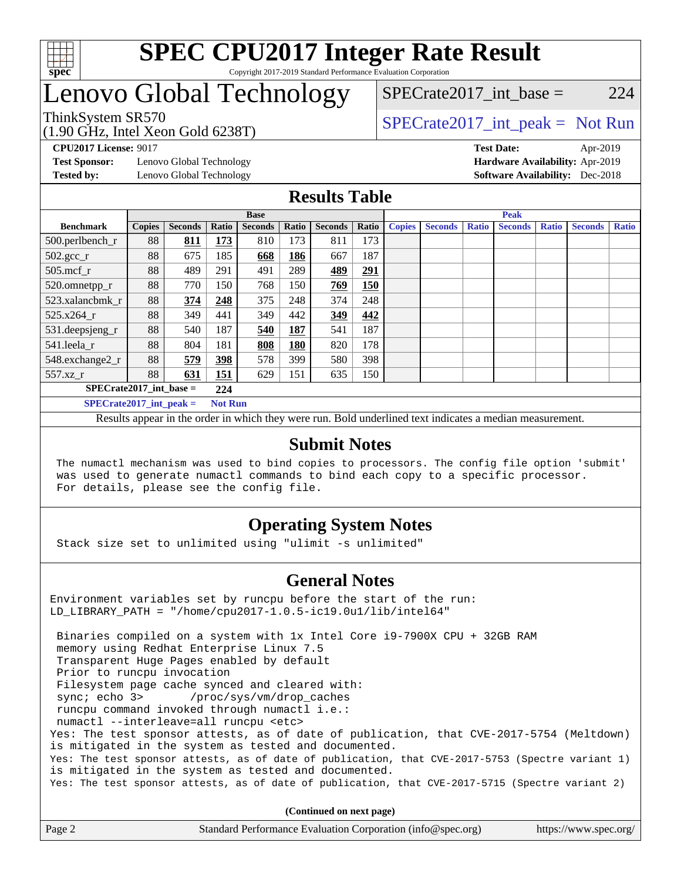

# Lenovo Global Technology

SPECrate2017 int\_base =  $224$ 

(1.90 GHz, Intel Xeon Gold 6238T)

ThinkSystem SR570<br>(1.00 CHz, Intel Year Gald 6228T) [SPECrate2017\\_int\\_peak =](http://www.spec.org/auto/cpu2017/Docs/result-fields.html#SPECrate2017intpeak) Not Run

**[Test Sponsor:](http://www.spec.org/auto/cpu2017/Docs/result-fields.html#TestSponsor)** Lenovo Global Technology **[Hardware Availability:](http://www.spec.org/auto/cpu2017/Docs/result-fields.html#HardwareAvailability)** Apr-2019

**[CPU2017 License:](http://www.spec.org/auto/cpu2017/Docs/result-fields.html#CPU2017License)** 9017 **[Test Date:](http://www.spec.org/auto/cpu2017/Docs/result-fields.html#TestDate)** Apr-2019 **[Tested by:](http://www.spec.org/auto/cpu2017/Docs/result-fields.html#Testedby)** Lenovo Global Technology **[Software Availability:](http://www.spec.org/auto/cpu2017/Docs/result-fields.html#SoftwareAvailability)** Dec-2018

### **[Results Table](http://www.spec.org/auto/cpu2017/Docs/result-fields.html#ResultsTable)**

|                           | <b>Base</b>   |                |       |                |       | <b>Peak</b>    |       |               |                |       |                |              |                |              |
|---------------------------|---------------|----------------|-------|----------------|-------|----------------|-------|---------------|----------------|-------|----------------|--------------|----------------|--------------|
| <b>Benchmark</b>          | <b>Copies</b> | <b>Seconds</b> | Ratio | <b>Seconds</b> | Ratio | <b>Seconds</b> | Ratio | <b>Copies</b> | <b>Seconds</b> | Ratio | <b>Seconds</b> | <b>Ratio</b> | <b>Seconds</b> | <b>Ratio</b> |
| 500.perlbench_r           | 88            | 811            | 173   | 810            | 173   | 811            | 173   |               |                |       |                |              |                |              |
| $502.\text{gcc}_r$        | 88            | 675            | 185   | 668            | 186   | 667            | 187   |               |                |       |                |              |                |              |
| $505$ .mcf r              | 88            | 489            | 291   | 491            | 289   | 489            | 291   |               |                |       |                |              |                |              |
| 520.omnetpp_r             | 88            | 770            | 150   | 768            | 150   | 769            | 150   |               |                |       |                |              |                |              |
| 523.xalancbmk_r           | 88            | 374            | 248   | 375            | 248   | 374            | 248   |               |                |       |                |              |                |              |
| 525.x264 r                | 88            | 349            | 441   | 349            | 442   | 349            | 442   |               |                |       |                |              |                |              |
| 531.deepsjeng_r           | 88            | 540            | 187   | 540            | 187   | 541            | 187   |               |                |       |                |              |                |              |
| 541.leela r               | 88            | 804            | 181   | 808            | 180   | 820            | 178   |               |                |       |                |              |                |              |
| 548.exchange2_r           | 88            | 579            | 398   | 578            | 399   | 580            | 398   |               |                |       |                |              |                |              |
| 557.xz r                  | 88            | 631            | 151   | 629            | 151   | 635            | 150   |               |                |       |                |              |                |              |
| $SPECrate2017$ int base = |               |                | 224   |                |       |                |       |               |                |       |                |              |                |              |
| $SPECrate2017$ int peak = |               |                |       | <b>Not Run</b> |       |                |       |               |                |       |                |              |                |              |

Results appear in the [order in which they were run](http://www.spec.org/auto/cpu2017/Docs/result-fields.html#RunOrder). Bold underlined text [indicates a median measurement](http://www.spec.org/auto/cpu2017/Docs/result-fields.html#Median).

#### **[Submit Notes](http://www.spec.org/auto/cpu2017/Docs/result-fields.html#SubmitNotes)**

 The numactl mechanism was used to bind copies to processors. The config file option 'submit' was used to generate numactl commands to bind each copy to a specific processor. For details, please see the config file.

### **[Operating System Notes](http://www.spec.org/auto/cpu2017/Docs/result-fields.html#OperatingSystemNotes)**

Stack size set to unlimited using "ulimit -s unlimited"

### **[General Notes](http://www.spec.org/auto/cpu2017/Docs/result-fields.html#GeneralNotes)**

Environment variables set by runcpu before the start of the run: LD\_LIBRARY\_PATH = "/home/cpu2017-1.0.5-ic19.0u1/lib/intel64"

 Binaries compiled on a system with 1x Intel Core i9-7900X CPU + 32GB RAM memory using Redhat Enterprise Linux 7.5 Transparent Huge Pages enabled by default Prior to runcpu invocation Filesystem page cache synced and cleared with: sync; echo 3> /proc/sys/vm/drop\_caches runcpu command invoked through numactl i.e.: numactl --interleave=all runcpu <etc> Yes: The test sponsor attests, as of date of publication, that CVE-2017-5754 (Meltdown) is mitigated in the system as tested and documented. Yes: The test sponsor attests, as of date of publication, that CVE-2017-5753 (Spectre variant 1) is mitigated in the system as tested and documented. Yes: The test sponsor attests, as of date of publication, that CVE-2017-5715 (Spectre variant 2)

**(Continued on next page)**

| Page 2 | Standard Performance Evaluation Corporation (info@spec.org) | https://www.spec.org/ |
|--------|-------------------------------------------------------------|-----------------------|
|        |                                                             |                       |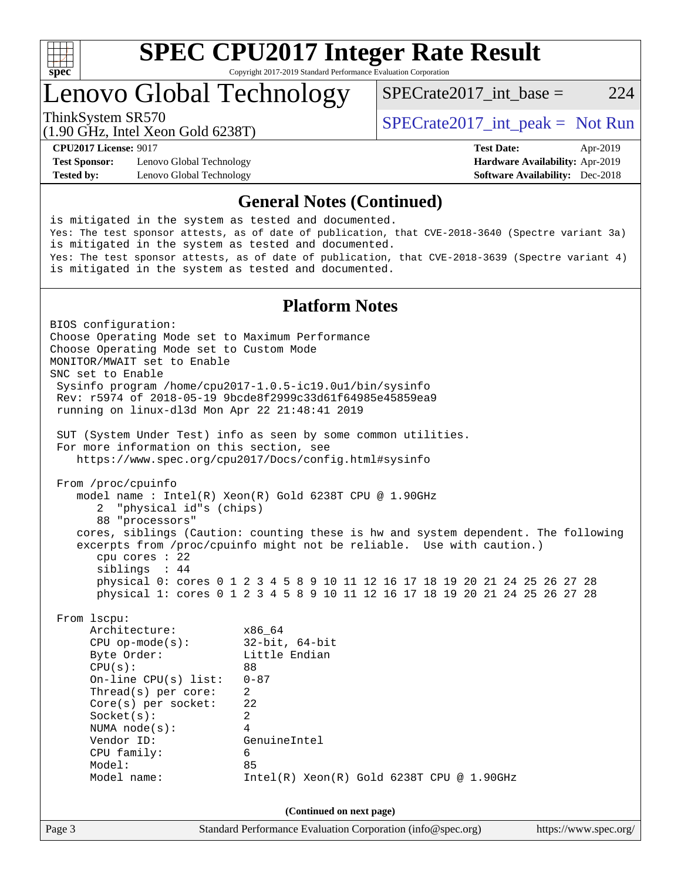

# **[SPEC CPU2017 Integer Rate Result](http://www.spec.org/auto/cpu2017/Docs/result-fields.html#SPECCPU2017IntegerRateResult)**

Copyright 2017-2019 Standard Performance Evaluation Corporation

Lenovo Global Technology

ThinkSystem SR570<br>  $\begin{array}{r} \text{SPECTR} \\ \text{SPECTR} \\ \text{SPECTR} \end{array}$  [SPECrate2017\\_int\\_peak =](http://www.spec.org/auto/cpu2017/Docs/result-fields.html#SPECrate2017intpeak) Not Run

SPECrate2017 int\_base =  $224$ 

(1.90 GHz, Intel Xeon Gold 6238T)

**[Test Sponsor:](http://www.spec.org/auto/cpu2017/Docs/result-fields.html#TestSponsor)** Lenovo Global Technology **[Hardware Availability:](http://www.spec.org/auto/cpu2017/Docs/result-fields.html#HardwareAvailability)** Apr-2019 **[Tested by:](http://www.spec.org/auto/cpu2017/Docs/result-fields.html#Testedby)** Lenovo Global Technology **[Software Availability:](http://www.spec.org/auto/cpu2017/Docs/result-fields.html#SoftwareAvailability)** Dec-2018

**[CPU2017 License:](http://www.spec.org/auto/cpu2017/Docs/result-fields.html#CPU2017License)** 9017 **[Test Date:](http://www.spec.org/auto/cpu2017/Docs/result-fields.html#TestDate)** Apr-2019

#### **[General Notes \(Continued\)](http://www.spec.org/auto/cpu2017/Docs/result-fields.html#GeneralNotes)**

is mitigated in the system as tested and documented. Yes: The test sponsor attests, as of date of publication, that CVE-2018-3640 (Spectre variant 3a) is mitigated in the system as tested and documented. Yes: The test sponsor attests, as of date of publication, that CVE-2018-3639 (Spectre variant 4) is mitigated in the system as tested and documented.

### **[Platform Notes](http://www.spec.org/auto/cpu2017/Docs/result-fields.html#PlatformNotes)**

Page 3 Standard Performance Evaluation Corporation [\(info@spec.org\)](mailto:info@spec.org) <https://www.spec.org/> BIOS configuration: Choose Operating Mode set to Maximum Performance Choose Operating Mode set to Custom Mode MONITOR/MWAIT set to Enable SNC set to Enable Sysinfo program /home/cpu2017-1.0.5-ic19.0u1/bin/sysinfo Rev: r5974 of 2018-05-19 9bcde8f2999c33d61f64985e45859ea9 running on linux-dl3d Mon Apr 22 21:48:41 2019 SUT (System Under Test) info as seen by some common utilities. For more information on this section, see <https://www.spec.org/cpu2017/Docs/config.html#sysinfo> From /proc/cpuinfo model name : Intel(R) Xeon(R) Gold 6238T CPU @ 1.90GHz 2 "physical id"s (chips) 88 "processors" cores, siblings (Caution: counting these is hw and system dependent. The following excerpts from /proc/cpuinfo might not be reliable. Use with caution.) cpu cores : 22 siblings : 44 physical 0: cores 0 1 2 3 4 5 8 9 10 11 12 16 17 18 19 20 21 24 25 26 27 28 physical 1: cores 0 1 2 3 4 5 8 9 10 11 12 16 17 18 19 20 21 24 25 26 27 28 From lscpu: Architecture: x86\_64 CPU op-mode(s): 32-bit, 64-bit Byte Order: Little Endian  $CPU(s):$  88 On-line CPU(s) list: 0-87 Thread(s) per core: 2 Core(s) per socket: 22 Socket(s): 2 NUMA node(s): 4 Vendor ID: GenuineIntel CPU family: 6 Model: 85 Model name: Intel(R) Xeon(R) Gold 6238T CPU @ 1.90GHz **(Continued on next page)**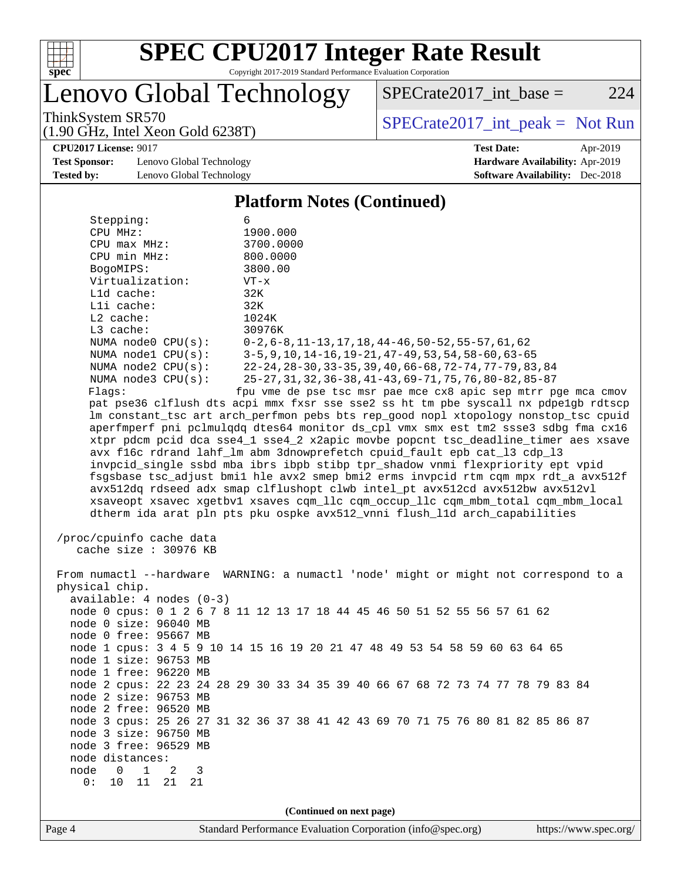

# **[SPEC CPU2017 Integer Rate Result](http://www.spec.org/auto/cpu2017/Docs/result-fields.html#SPECCPU2017IntegerRateResult)**

Copyright 2017-2019 Standard Performance Evaluation Corporation

enovo Global Technology

ThinkSystem SR570<br>(1.00 GHz, Intel Year Gald 6238T) [SPECrate2017\\_int\\_peak =](http://www.spec.org/auto/cpu2017/Docs/result-fields.html#SPECrate2017intpeak) Not Run

 $SPECTate2017\_int\_base = 224$ 

(1.90 GHz, Intel Xeon Gold 6238T)

**[CPU2017 License:](http://www.spec.org/auto/cpu2017/Docs/result-fields.html#CPU2017License)** 9017 **[Test Date:](http://www.spec.org/auto/cpu2017/Docs/result-fields.html#TestDate)** Apr-2019

**[Test Sponsor:](http://www.spec.org/auto/cpu2017/Docs/result-fields.html#TestSponsor)** Lenovo Global Technology **[Hardware Availability:](http://www.spec.org/auto/cpu2017/Docs/result-fields.html#HardwareAvailability)** Apr-2019 **[Tested by:](http://www.spec.org/auto/cpu2017/Docs/result-fields.html#Testedby)** Lenovo Global Technology **[Software Availability:](http://www.spec.org/auto/cpu2017/Docs/result-fields.html#SoftwareAvailability)** Dec-2018

### **[Platform Notes \(Continued\)](http://www.spec.org/auto/cpu2017/Docs/result-fields.html#PlatformNotes)**

| Stepping:                                      | 6                                                                                    |  |  |  |  |  |
|------------------------------------------------|--------------------------------------------------------------------------------------|--|--|--|--|--|
| CPU MHz:                                       | 1900.000                                                                             |  |  |  |  |  |
| $CPU$ $max$ $MHz$ :                            | 3700.0000                                                                            |  |  |  |  |  |
| CPU min MHz:                                   | 800.0000                                                                             |  |  |  |  |  |
| BogoMIPS:                                      | 3800.00                                                                              |  |  |  |  |  |
| Virtualization:                                | $VT - x$                                                                             |  |  |  |  |  |
| Lld cache:                                     | 32K                                                                                  |  |  |  |  |  |
| Lli cache:                                     | 32K                                                                                  |  |  |  |  |  |
| L2 cache:                                      | 1024K                                                                                |  |  |  |  |  |
| L3 cache:                                      | 30976K                                                                               |  |  |  |  |  |
| NUMA node0 CPU(s):                             | $0-2, 6-8, 11-13, 17, 18, 44-46, 50-52, 55-57, 61, 62$                               |  |  |  |  |  |
| NUMA nodel $CPU(s):$                           | $3-5, 9, 10, 14-16, 19-21, 47-49, 53, 54, 58-60, 63-65$                              |  |  |  |  |  |
| NUMA $node2$ $CPU(s)$ :                        | 22-24, 28-30, 33-35, 39, 40, 66-68, 72-74, 77-79, 83, 84                             |  |  |  |  |  |
| NUMA node3 CPU(s):                             | 25-27, 31, 32, 36-38, 41-43, 69-71, 75, 76, 80-82, 85-87                             |  |  |  |  |  |
| Flags:                                         | fpu vme de pse tsc msr pae mce cx8 apic sep mtrr pge mca cmov                        |  |  |  |  |  |
|                                                | pat pse36 clflush dts acpi mmx fxsr sse sse2 ss ht tm pbe syscall nx pdpelgb rdtscp  |  |  |  |  |  |
|                                                | lm constant_tsc art arch_perfmon pebs bts rep_good nopl xtopology nonstop_tsc cpuid  |  |  |  |  |  |
|                                                | aperfmperf pni pclmulgdg dtes64 monitor ds cpl vmx smx est tm2 ssse3 sdbg fma cx16   |  |  |  |  |  |
|                                                | xtpr pdcm pcid dca sse4_1 sse4_2 x2apic movbe popcnt tsc_deadline_timer aes xsave    |  |  |  |  |  |
|                                                | avx f16c rdrand lahf_lm abm 3dnowprefetch cpuid_fault epb cat_13 cdp_13              |  |  |  |  |  |
|                                                | invpcid_single ssbd mba ibrs ibpb stibp tpr_shadow vnmi flexpriority ept vpid        |  |  |  |  |  |
|                                                | fsgsbase tsc_adjust bmil hle avx2 smep bmi2 erms invpcid rtm cqm mpx rdt_a avx512f   |  |  |  |  |  |
|                                                | avx512dq rdseed adx smap clflushopt clwb intel_pt avx512cd avx512bw avx512vl         |  |  |  |  |  |
|                                                |                                                                                      |  |  |  |  |  |
|                                                | xsaveopt xsavec xgetbvl xsaves cqm_llc cqm_occup_llc cqm_mbm_total cqm_mbm_local     |  |  |  |  |  |
|                                                | dtherm ida arat pln pts pku ospke avx512_vnni flush_lld arch_capabilities            |  |  |  |  |  |
| /proc/cpuinfo cache data                       |                                                                                      |  |  |  |  |  |
| cache size : 30976 KB                          |                                                                                      |  |  |  |  |  |
|                                                |                                                                                      |  |  |  |  |  |
|                                                | From numactl --hardware WARNING: a numactl 'node' might or might not correspond to a |  |  |  |  |  |
| physical chip.                                 |                                                                                      |  |  |  |  |  |
| $available: 4 nodes (0-3)$                     |                                                                                      |  |  |  |  |  |
|                                                | node 0 cpus: 0 1 2 6 7 8 11 12 13 17 18 44 45 46 50 51 52 55 56 57 61 62             |  |  |  |  |  |
| node 0 size: 96040 MB                          |                                                                                      |  |  |  |  |  |
|                                                |                                                                                      |  |  |  |  |  |
| node 0 free: 95667 MB                          |                                                                                      |  |  |  |  |  |
| node 1 size: 96753 MB                          | node 1 cpus: 3 4 5 9 10 14 15 16 19 20 21 47 48 49 53 54 58 59 60 63 64 65           |  |  |  |  |  |
|                                                |                                                                                      |  |  |  |  |  |
| node 1 free: 96220 MB                          |                                                                                      |  |  |  |  |  |
|                                                | node 2 cpus: 22 23 24 28 29 30 33 34 35 39 40 66 67 68 72 73 74 77 78 79 83 84       |  |  |  |  |  |
| node 2 size: 96753 MB                          |                                                                                      |  |  |  |  |  |
| node 2 free: 96520 MB                          |                                                                                      |  |  |  |  |  |
|                                                | node 3 cpus: 25 26 27 31 32 36 37 38 41 42 43 69 70 71 75 76 80 81 82 85 86 87       |  |  |  |  |  |
| node 3 size: 96750 MB                          |                                                                                      |  |  |  |  |  |
| node 3 free: 96529 MB                          |                                                                                      |  |  |  |  |  |
| node distances:                                |                                                                                      |  |  |  |  |  |
| node<br>$\mathbf{0}$<br>$\mathbf{1}$<br>2<br>3 |                                                                                      |  |  |  |  |  |
| 0 :<br>10<br>11<br>21<br>21                    |                                                                                      |  |  |  |  |  |
|                                                |                                                                                      |  |  |  |  |  |
|                                                | (Continued on next page)                                                             |  |  |  |  |  |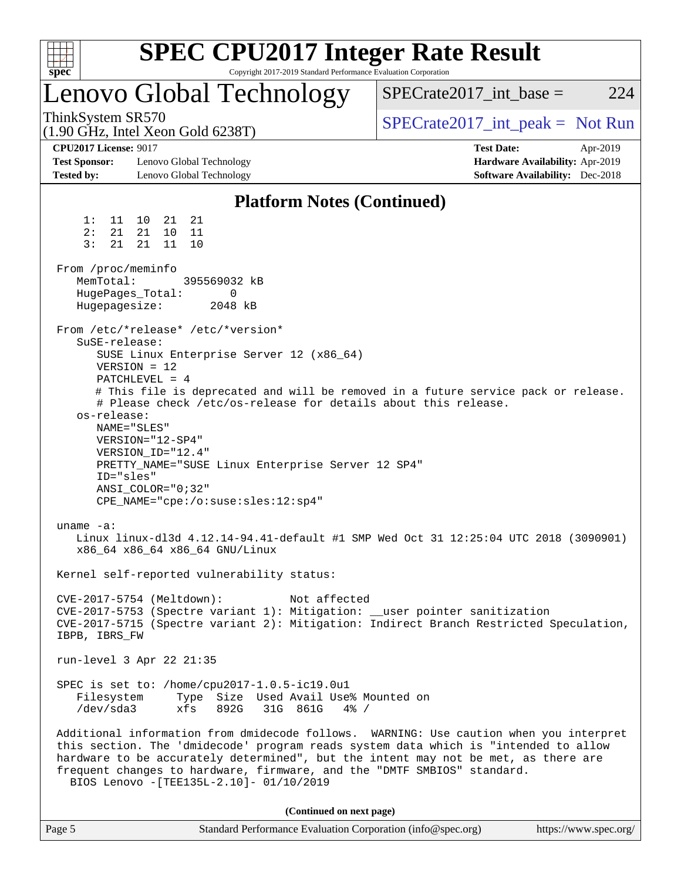| <b>SPEC CPU2017 Integer Rate Result</b><br>Spec<br>Copyright 2017-2019 Standard Performance Evaluation Corporation                                                                                                                                                                                                                                                                                                                                                                                                                                                                                                                                                                                                                                                                                                                                                                                                                     |                                                                                                            |
|----------------------------------------------------------------------------------------------------------------------------------------------------------------------------------------------------------------------------------------------------------------------------------------------------------------------------------------------------------------------------------------------------------------------------------------------------------------------------------------------------------------------------------------------------------------------------------------------------------------------------------------------------------------------------------------------------------------------------------------------------------------------------------------------------------------------------------------------------------------------------------------------------------------------------------------|------------------------------------------------------------------------------------------------------------|
| Lenovo Global Technology                                                                                                                                                                                                                                                                                                                                                                                                                                                                                                                                                                                                                                                                                                                                                                                                                                                                                                               | $SPECrate2017\_int\_base =$<br>224                                                                         |
| ThinkSystem SR570<br>$(1.90 \text{ GHz}, \text{Intel Xeon Gold } 6238 \text{T})$                                                                                                                                                                                                                                                                                                                                                                                                                                                                                                                                                                                                                                                                                                                                                                                                                                                       | $SPECTate2017\_int\_peak = Not Run$                                                                        |
| <b>CPU2017 License: 9017</b><br><b>Test Sponsor:</b><br>Lenovo Global Technology<br><b>Tested by:</b><br>Lenovo Global Technology                                                                                                                                                                                                                                                                                                                                                                                                                                                                                                                                                                                                                                                                                                                                                                                                      | <b>Test Date:</b><br>Apr-2019<br>Hardware Availability: Apr-2019<br><b>Software Availability:</b> Dec-2018 |
| <b>Platform Notes (Continued)</b>                                                                                                                                                                                                                                                                                                                                                                                                                                                                                                                                                                                                                                                                                                                                                                                                                                                                                                      |                                                                                                            |
| 21<br>1:<br>11<br>21<br>10<br>2:<br>21<br>21<br>10<br>11<br>3:<br>21<br>11<br>10<br>21                                                                                                                                                                                                                                                                                                                                                                                                                                                                                                                                                                                                                                                                                                                                                                                                                                                 |                                                                                                            |
| From /proc/meminfo<br>MemTotal:<br>395569032 kB<br>HugePages_Total:<br>0<br>Hugepagesize:<br>2048 kB                                                                                                                                                                                                                                                                                                                                                                                                                                                                                                                                                                                                                                                                                                                                                                                                                                   |                                                                                                            |
| From /etc/*release* /etc/*version*<br>SuSE-release:<br>SUSE Linux Enterprise Server 12 (x86_64)<br>$VERSION = 12$<br>PATCHLEVEL = $4$<br># This file is deprecated and will be removed in a future service pack or release.<br># Please check /etc/os-release for details about this release.<br>os-release:<br>NAME="SLES"<br>VERSION="12-SP4"<br>VERSION_ID="12.4"<br>PRETTY_NAME="SUSE Linux Enterprise Server 12 SP4"<br>ID="sles"<br>$ANSI$ _COLOR=" $0:32$ "<br>CPE_NAME="cpe:/o:suse:sles:12:sp4"<br>uname $-a$ :<br>Linux linux-dl3d 4.12.14-94.41-default #1 SMP Wed Oct 31 12:25:04 UTC 2018 (3090901)<br>x86 64 x86 64 x86 64 GNU/Linux<br>Kernel self-reported vulnerability status:<br>CVE-2017-5754 (Meltdown):<br>Not affected<br>CVE-2017-5753 (Spectre variant 1): Mitigation: __user pointer sanitization<br>CVE-2017-5715 (Spectre variant 2): Mitigation: Indirect Branch Restricted Speculation,<br>IBPB, IBRS FW |                                                                                                            |
| run-level 3 Apr 22 21:35                                                                                                                                                                                                                                                                                                                                                                                                                                                                                                                                                                                                                                                                                                                                                                                                                                                                                                               |                                                                                                            |
| SPEC is set to: /home/cpu2017-1.0.5-ic19.0u1<br>Type Size Used Avail Use% Mounted on<br>Filesystem<br>892G<br>31G 861G<br>/dev/sda3<br>xfs<br>$4\%$ /                                                                                                                                                                                                                                                                                                                                                                                                                                                                                                                                                                                                                                                                                                                                                                                  |                                                                                                            |
| Additional information from dmidecode follows. WARNING: Use caution when you interpret<br>this section. The 'dmidecode' program reads system data which is "intended to allow<br>hardware to be accurately determined", but the intent may not be met, as there are<br>frequent changes to hardware, firmware, and the "DMTF SMBIOS" standard.<br>BIOS Lenovo -[TEE135L-2.10]- 01/10/2019                                                                                                                                                                                                                                                                                                                                                                                                                                                                                                                                              |                                                                                                            |
| (Continued on next page)                                                                                                                                                                                                                                                                                                                                                                                                                                                                                                                                                                                                                                                                                                                                                                                                                                                                                                               |                                                                                                            |
| Page 5<br>Standard Performance Evaluation Corporation (info@spec.org)                                                                                                                                                                                                                                                                                                                                                                                                                                                                                                                                                                                                                                                                                                                                                                                                                                                                  | https://www.spec.org/                                                                                      |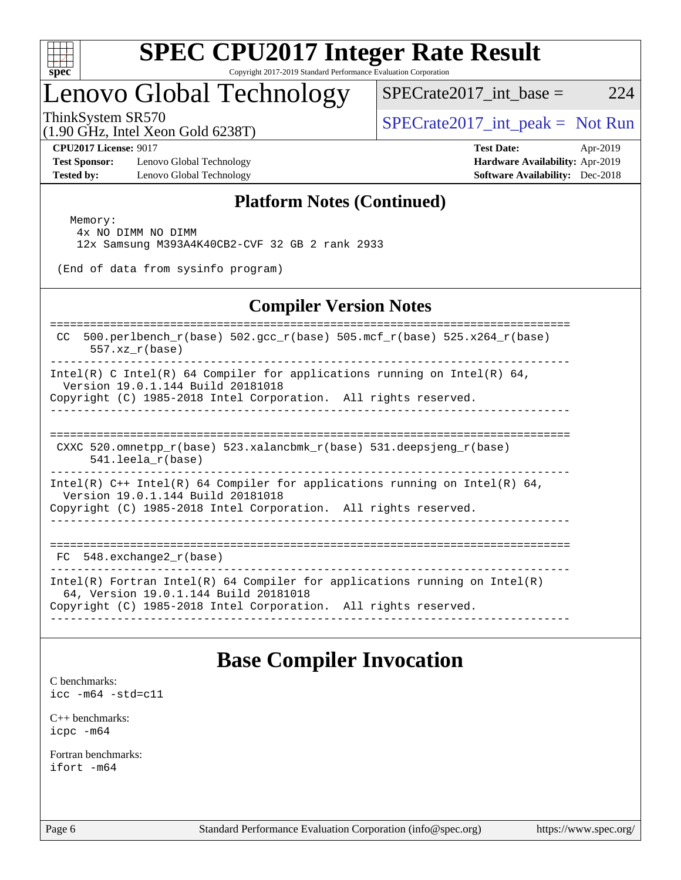

## Lenovo Global Technology

ThinkSystem SR570<br>(1.00 CHz, Intel Year Gald 6228T) [SPECrate2017\\_int\\_peak =](http://www.spec.org/auto/cpu2017/Docs/result-fields.html#SPECrate2017intpeak) Not Run

 $SPECTate2017\_int\_base = 224$ 

(1.90 GHz, Intel Xeon Gold 6238T)

**[Test Sponsor:](http://www.spec.org/auto/cpu2017/Docs/result-fields.html#TestSponsor)** Lenovo Global Technology **[Hardware Availability:](http://www.spec.org/auto/cpu2017/Docs/result-fields.html#HardwareAvailability)** Apr-2019 **[Tested by:](http://www.spec.org/auto/cpu2017/Docs/result-fields.html#Testedby)** Lenovo Global Technology **[Software Availability:](http://www.spec.org/auto/cpu2017/Docs/result-fields.html#SoftwareAvailability)** Dec-2018

**[CPU2017 License:](http://www.spec.org/auto/cpu2017/Docs/result-fields.html#CPU2017License)** 9017 **[Test Date:](http://www.spec.org/auto/cpu2017/Docs/result-fields.html#TestDate)** Apr-2019

### **[Platform Notes \(Continued\)](http://www.spec.org/auto/cpu2017/Docs/result-fields.html#PlatformNotes)**

 Memory: 4x NO DIMM NO DIMM 12x Samsung M393A4K40CB2-CVF 32 GB 2 rank 2933

(End of data from sysinfo program)

### **[Compiler Version Notes](http://www.spec.org/auto/cpu2017/Docs/result-fields.html#CompilerVersionNotes)**

============================================================================== CC 500.perlbench\_r(base) 502.gcc\_r(base) 505.mcf\_r(base) 525.x264\_r(base) 557.xz\_r(base) ------------------------------------------------------------------------------ Intel(R) C Intel(R) 64 Compiler for applications running on Intel(R)  $64$ , Version 19.0.1.144 Build 20181018 Copyright (C) 1985-2018 Intel Corporation. All rights reserved. ------------------------------------------------------------------------------ ============================================================================== CXXC 520.omnetpp  $r(base)$  523.xalancbmk  $r(base)$  531.deepsjeng  $r(base)$  541.leela\_r(base) ------------------------------------------------------------------------------ Intel(R)  $C++$  Intel(R) 64 Compiler for applications running on Intel(R) 64, Version 19.0.1.144 Build 20181018

Copyright (C) 1985-2018 Intel Corporation. All rights reserved. ------------------------------------------------------------------------------

============================================================================== FC  $548$ . exchange2  $r(base)$ 

------------------------------------------------------------------------------

Intel(R) Fortran Intel(R) 64 Compiler for applications running on Intel(R)

 64, Version 19.0.1.144 Build 20181018 Copyright (C) 1985-2018 Intel Corporation. All rights reserved.

------------------------------------------------------------------------------

### **[Base Compiler Invocation](http://www.spec.org/auto/cpu2017/Docs/result-fields.html#BaseCompilerInvocation)**

[C benchmarks](http://www.spec.org/auto/cpu2017/Docs/result-fields.html#Cbenchmarks): [icc -m64 -std=c11](http://www.spec.org/cpu2017/results/res2019q2/cpu2017-20190430-13426.flags.html#user_CCbase_intel_icc_64bit_c11_33ee0cdaae7deeeab2a9725423ba97205ce30f63b9926c2519791662299b76a0318f32ddfffdc46587804de3178b4f9328c46fa7c2b0cd779d7a61945c91cd35)

[C++ benchmarks:](http://www.spec.org/auto/cpu2017/Docs/result-fields.html#CXXbenchmarks) [icpc -m64](http://www.spec.org/cpu2017/results/res2019q2/cpu2017-20190430-13426.flags.html#user_CXXbase_intel_icpc_64bit_4ecb2543ae3f1412ef961e0650ca070fec7b7afdcd6ed48761b84423119d1bf6bdf5cad15b44d48e7256388bc77273b966e5eb805aefd121eb22e9299b2ec9d9)

[Fortran benchmarks](http://www.spec.org/auto/cpu2017/Docs/result-fields.html#Fortranbenchmarks): [ifort -m64](http://www.spec.org/cpu2017/results/res2019q2/cpu2017-20190430-13426.flags.html#user_FCbase_intel_ifort_64bit_24f2bb282fbaeffd6157abe4f878425411749daecae9a33200eee2bee2fe76f3b89351d69a8130dd5949958ce389cf37ff59a95e7a40d588e8d3a57e0c3fd751)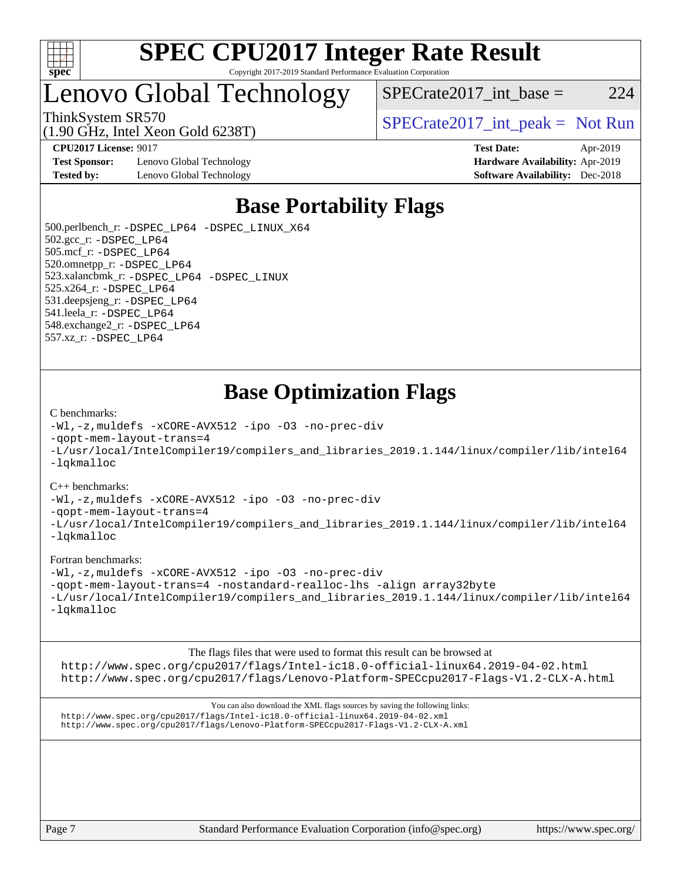

### Lenovo Global Technology

ThinkSystem SR570<br>  $\begin{array}{r} \text{ShinkSystem SRS70} \\ \text{SPECrate2017\_int\_peak} = \text{Not Run} \end{array}$ 

 $SPECrate2017\_int\_base = 224$ 

(1.90 GHz, Intel Xeon Gold 6238T)

**[Test Sponsor:](http://www.spec.org/auto/cpu2017/Docs/result-fields.html#TestSponsor)** Lenovo Global Technology **[Hardware Availability:](http://www.spec.org/auto/cpu2017/Docs/result-fields.html#HardwareAvailability)** Apr-2019 **[Tested by:](http://www.spec.org/auto/cpu2017/Docs/result-fields.html#Testedby)** Lenovo Global Technology **[Software Availability:](http://www.spec.org/auto/cpu2017/Docs/result-fields.html#SoftwareAvailability)** Dec-2018

**[CPU2017 License:](http://www.spec.org/auto/cpu2017/Docs/result-fields.html#CPU2017License)** 9017 **[Test Date:](http://www.spec.org/auto/cpu2017/Docs/result-fields.html#TestDate)** Apr-2019

### **[Base Portability Flags](http://www.spec.org/auto/cpu2017/Docs/result-fields.html#BasePortabilityFlags)**

 500.perlbench\_r: [-DSPEC\\_LP64](http://www.spec.org/cpu2017/results/res2019q2/cpu2017-20190430-13426.flags.html#b500.perlbench_r_basePORTABILITY_DSPEC_LP64) [-DSPEC\\_LINUX\\_X64](http://www.spec.org/cpu2017/results/res2019q2/cpu2017-20190430-13426.flags.html#b500.perlbench_r_baseCPORTABILITY_DSPEC_LINUX_X64) 502.gcc\_r: [-DSPEC\\_LP64](http://www.spec.org/cpu2017/results/res2019q2/cpu2017-20190430-13426.flags.html#suite_basePORTABILITY502_gcc_r_DSPEC_LP64) 505.mcf\_r: [-DSPEC\\_LP64](http://www.spec.org/cpu2017/results/res2019q2/cpu2017-20190430-13426.flags.html#suite_basePORTABILITY505_mcf_r_DSPEC_LP64) 520.omnetpp\_r: [-DSPEC\\_LP64](http://www.spec.org/cpu2017/results/res2019q2/cpu2017-20190430-13426.flags.html#suite_basePORTABILITY520_omnetpp_r_DSPEC_LP64) 523.xalancbmk\_r: [-DSPEC\\_LP64](http://www.spec.org/cpu2017/results/res2019q2/cpu2017-20190430-13426.flags.html#suite_basePORTABILITY523_xalancbmk_r_DSPEC_LP64) [-DSPEC\\_LINUX](http://www.spec.org/cpu2017/results/res2019q2/cpu2017-20190430-13426.flags.html#b523.xalancbmk_r_baseCXXPORTABILITY_DSPEC_LINUX) 525.x264\_r: [-DSPEC\\_LP64](http://www.spec.org/cpu2017/results/res2019q2/cpu2017-20190430-13426.flags.html#suite_basePORTABILITY525_x264_r_DSPEC_LP64) 531.deepsjeng\_r: [-DSPEC\\_LP64](http://www.spec.org/cpu2017/results/res2019q2/cpu2017-20190430-13426.flags.html#suite_basePORTABILITY531_deepsjeng_r_DSPEC_LP64) 541.leela\_r: [-DSPEC\\_LP64](http://www.spec.org/cpu2017/results/res2019q2/cpu2017-20190430-13426.flags.html#suite_basePORTABILITY541_leela_r_DSPEC_LP64) 548.exchange2\_r: [-DSPEC\\_LP64](http://www.spec.org/cpu2017/results/res2019q2/cpu2017-20190430-13426.flags.html#suite_basePORTABILITY548_exchange2_r_DSPEC_LP64) 557.xz\_r: [-DSPEC\\_LP64](http://www.spec.org/cpu2017/results/res2019q2/cpu2017-20190430-13426.flags.html#suite_basePORTABILITY557_xz_r_DSPEC_LP64)

### **[Base Optimization Flags](http://www.spec.org/auto/cpu2017/Docs/result-fields.html#BaseOptimizationFlags)**

#### [C benchmarks](http://www.spec.org/auto/cpu2017/Docs/result-fields.html#Cbenchmarks):

[-Wl,-z,muldefs](http://www.spec.org/cpu2017/results/res2019q2/cpu2017-20190430-13426.flags.html#user_CCbase_link_force_multiple1_b4cbdb97b34bdee9ceefcfe54f4c8ea74255f0b02a4b23e853cdb0e18eb4525ac79b5a88067c842dd0ee6996c24547a27a4b99331201badda8798ef8a743f577) [-xCORE-AVX512](http://www.spec.org/cpu2017/results/res2019q2/cpu2017-20190430-13426.flags.html#user_CCbase_f-xCORE-AVX512) [-ipo](http://www.spec.org/cpu2017/results/res2019q2/cpu2017-20190430-13426.flags.html#user_CCbase_f-ipo) [-O3](http://www.spec.org/cpu2017/results/res2019q2/cpu2017-20190430-13426.flags.html#user_CCbase_f-O3) [-no-prec-div](http://www.spec.org/cpu2017/results/res2019q2/cpu2017-20190430-13426.flags.html#user_CCbase_f-no-prec-div) [-qopt-mem-layout-trans=4](http://www.spec.org/cpu2017/results/res2019q2/cpu2017-20190430-13426.flags.html#user_CCbase_f-qopt-mem-layout-trans_fa39e755916c150a61361b7846f310bcdf6f04e385ef281cadf3647acec3f0ae266d1a1d22d972a7087a248fd4e6ca390a3634700869573d231a252c784941a8) [-L/usr/local/IntelCompiler19/compilers\\_and\\_libraries\\_2019.1.144/linux/compiler/lib/intel64](http://www.spec.org/cpu2017/results/res2019q2/cpu2017-20190430-13426.flags.html#user_CCbase_qkmalloc_link_f25da0aa8cf9bced0533715046f0c2fbfb1a7191e3e496916672e09b4c388a884c4c7e4862cb529343da2264b43416df65c99fd1ddbf5dd13ae6d3130cf47881) [-lqkmalloc](http://www.spec.org/cpu2017/results/res2019q2/cpu2017-20190430-13426.flags.html#user_CCbase_qkmalloc_link_lib_79a818439969f771c6bc311cfd333c00fc099dad35c030f5aab9dda831713d2015205805422f83de8875488a2991c0a156aaa600e1f9138f8fc37004abc96dc5)

#### [C++ benchmarks](http://www.spec.org/auto/cpu2017/Docs/result-fields.html#CXXbenchmarks):

[-Wl,-z,muldefs](http://www.spec.org/cpu2017/results/res2019q2/cpu2017-20190430-13426.flags.html#user_CXXbase_link_force_multiple1_b4cbdb97b34bdee9ceefcfe54f4c8ea74255f0b02a4b23e853cdb0e18eb4525ac79b5a88067c842dd0ee6996c24547a27a4b99331201badda8798ef8a743f577) [-xCORE-AVX512](http://www.spec.org/cpu2017/results/res2019q2/cpu2017-20190430-13426.flags.html#user_CXXbase_f-xCORE-AVX512) [-ipo](http://www.spec.org/cpu2017/results/res2019q2/cpu2017-20190430-13426.flags.html#user_CXXbase_f-ipo) [-O3](http://www.spec.org/cpu2017/results/res2019q2/cpu2017-20190430-13426.flags.html#user_CXXbase_f-O3) [-no-prec-div](http://www.spec.org/cpu2017/results/res2019q2/cpu2017-20190430-13426.flags.html#user_CXXbase_f-no-prec-div)

[-qopt-mem-layout-trans=4](http://www.spec.org/cpu2017/results/res2019q2/cpu2017-20190430-13426.flags.html#user_CXXbase_f-qopt-mem-layout-trans_fa39e755916c150a61361b7846f310bcdf6f04e385ef281cadf3647acec3f0ae266d1a1d22d972a7087a248fd4e6ca390a3634700869573d231a252c784941a8)

[-L/usr/local/IntelCompiler19/compilers\\_and\\_libraries\\_2019.1.144/linux/compiler/lib/intel64](http://www.spec.org/cpu2017/results/res2019q2/cpu2017-20190430-13426.flags.html#user_CXXbase_qkmalloc_link_f25da0aa8cf9bced0533715046f0c2fbfb1a7191e3e496916672e09b4c388a884c4c7e4862cb529343da2264b43416df65c99fd1ddbf5dd13ae6d3130cf47881) [-lqkmalloc](http://www.spec.org/cpu2017/results/res2019q2/cpu2017-20190430-13426.flags.html#user_CXXbase_qkmalloc_link_lib_79a818439969f771c6bc311cfd333c00fc099dad35c030f5aab9dda831713d2015205805422f83de8875488a2991c0a156aaa600e1f9138f8fc37004abc96dc5)

#### [Fortran benchmarks](http://www.spec.org/auto/cpu2017/Docs/result-fields.html#Fortranbenchmarks):

[-Wl,-z,muldefs](http://www.spec.org/cpu2017/results/res2019q2/cpu2017-20190430-13426.flags.html#user_FCbase_link_force_multiple1_b4cbdb97b34bdee9ceefcfe54f4c8ea74255f0b02a4b23e853cdb0e18eb4525ac79b5a88067c842dd0ee6996c24547a27a4b99331201badda8798ef8a743f577) [-xCORE-AVX512](http://www.spec.org/cpu2017/results/res2019q2/cpu2017-20190430-13426.flags.html#user_FCbase_f-xCORE-AVX512) [-ipo](http://www.spec.org/cpu2017/results/res2019q2/cpu2017-20190430-13426.flags.html#user_FCbase_f-ipo) [-O3](http://www.spec.org/cpu2017/results/res2019q2/cpu2017-20190430-13426.flags.html#user_FCbase_f-O3) [-no-prec-div](http://www.spec.org/cpu2017/results/res2019q2/cpu2017-20190430-13426.flags.html#user_FCbase_f-no-prec-div) [-qopt-mem-layout-trans=4](http://www.spec.org/cpu2017/results/res2019q2/cpu2017-20190430-13426.flags.html#user_FCbase_f-qopt-mem-layout-trans_fa39e755916c150a61361b7846f310bcdf6f04e385ef281cadf3647acec3f0ae266d1a1d22d972a7087a248fd4e6ca390a3634700869573d231a252c784941a8) [-nostandard-realloc-lhs](http://www.spec.org/cpu2017/results/res2019q2/cpu2017-20190430-13426.flags.html#user_FCbase_f_2003_std_realloc_82b4557e90729c0f113870c07e44d33d6f5a304b4f63d4c15d2d0f1fab99f5daaed73bdb9275d9ae411527f28b936061aa8b9c8f2d63842963b95c9dd6426b8a) [-align array32byte](http://www.spec.org/cpu2017/results/res2019q2/cpu2017-20190430-13426.flags.html#user_FCbase_align_array32byte_b982fe038af199962ba9a80c053b8342c548c85b40b8e86eb3cc33dee0d7986a4af373ac2d51c3f7cf710a18d62fdce2948f201cd044323541f22fc0fffc51b6) [-L/usr/local/IntelCompiler19/compilers\\_and\\_libraries\\_2019.1.144/linux/compiler/lib/intel64](http://www.spec.org/cpu2017/results/res2019q2/cpu2017-20190430-13426.flags.html#user_FCbase_qkmalloc_link_f25da0aa8cf9bced0533715046f0c2fbfb1a7191e3e496916672e09b4c388a884c4c7e4862cb529343da2264b43416df65c99fd1ddbf5dd13ae6d3130cf47881) [-lqkmalloc](http://www.spec.org/cpu2017/results/res2019q2/cpu2017-20190430-13426.flags.html#user_FCbase_qkmalloc_link_lib_79a818439969f771c6bc311cfd333c00fc099dad35c030f5aab9dda831713d2015205805422f83de8875488a2991c0a156aaa600e1f9138f8fc37004abc96dc5)

The flags files that were used to format this result can be browsed at <http://www.spec.org/cpu2017/flags/Intel-ic18.0-official-linux64.2019-04-02.html> <http://www.spec.org/cpu2017/flags/Lenovo-Platform-SPECcpu2017-Flags-V1.2-CLX-A.html>

You can also download the XML flags sources by saving the following links: <http://www.spec.org/cpu2017/flags/Intel-ic18.0-official-linux64.2019-04-02.xml> <http://www.spec.org/cpu2017/flags/Lenovo-Platform-SPECcpu2017-Flags-V1.2-CLX-A.xml>